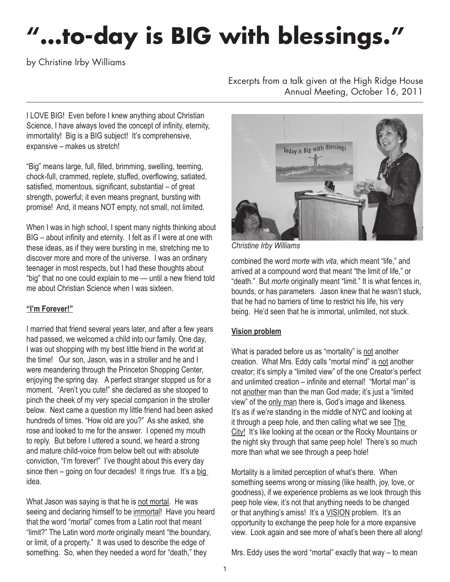# **"…to-day is BIG with blessings."**

by Christine Irby Williams

Excerpts from a talk given at the High Ridge House Annual Meeting, October 16, 2011

I LOVE BIG! Even before I knew anything about Christian Science, I have always loved the concept of infinity, eternity, immortality! Big is a BIG subject! It's comprehensive, expansive – makes us stretch!

"Big" means large, full, filled, brimming, swelling, teeming, chock-full, crammed, replete, stuffed, overflowing, satiated, satisfied, momentous, significant, substantial – of great strength, powerful; it even means pregnant, bursting with promise! And, it means NOT empty, not small, not limited.

When I was in high school, I spent many nights thinking about BIG – about infinity and eternity. I felt as if I were at one with these ideas, as if they were bursting in me, stretching me to discover more and more of the universe. I was an ordinary teenager in most respects, but I had these thoughts about "big" that no one could explain to me — until a new friend told me about Christian Science when I was sixteen.

### **"I'm Forever!"**

I married that friend several years later, and after a few years had passed, we welcomed a child into our family. One day, I was out shopping with my best little friend in the world at the time! Our son, Jason, was in a stroller and he and I were meandering through the Princeton Shopping Center, enjoying the spring day. A perfect stranger stopped us for a moment. "Aren't you cute!" she declared as she stooped to pinch the cheek of my very special companion in the stroller below. Next came a question my little friend had been asked hundreds of times. "How old are you?" As she asked, she rose and looked to me for the answer. I opened my mouth to reply. But before I uttered a sound, we heard a strong and mature child-voice from below belt out with absolute conviction, "I'm forever!" I've thought about this every day since then – going on four decades! It rings true. It's a big idea.

What Jason was saying is that he is not mortal. He was seeing and declaring himself to be immortal! Have you heard that the word "mortal" comes from a Latin root that meant "limit?" The Latin word *morte* originally meant "the boundary, or limit, of a property." It was used to describe the edge of something. So, when they needed a word for "death," they



*Christine Irby Williams*

combined the word *morte* with *vita*, which meant "life," and arrived at a compound word that meant "the limit of life," or "death." But *morte* originally meant "limit." It is what fences in, bounds, or has parameters. Jason knew that he wasn't stuck, that he had no barriers of time to restrict his life, his very being. He'd seen that he is immortal, unlimited, not stuck.

### **Vision problem**

What is paraded before us as "mortality" is not another creation. What Mrs. Eddy calls "mortal mind" is not another creator; it's simply a "limited view" of the one Creator's perfect and unlimited creation – infinite and eternal! "Mortal man" is not another man than the man God made; it's just a "limited view" of the only man there is, God's image and likeness. It's as if we're standing in the middle of NYC and looking at it through a peep hole, and then calling what we see The City!It's like looking at the ocean or the Rocky Mountains or the night sky through that same peep hole! There's so much more than what we see through a peep hole!

Mortality is a limited perception of what's there. When something seems wrong or missing (like health, joy, love, or goodness), if we experience problems as we look through this peep hole view, it's not that anything needs to be changed or that anything's amiss! It's a VISION problem. It's an opportunity to exchange the peep hole for a more expansive view. Look again and see more of what's been there all along!

Mrs. Eddy uses the word "mortal" exactly that way – to mean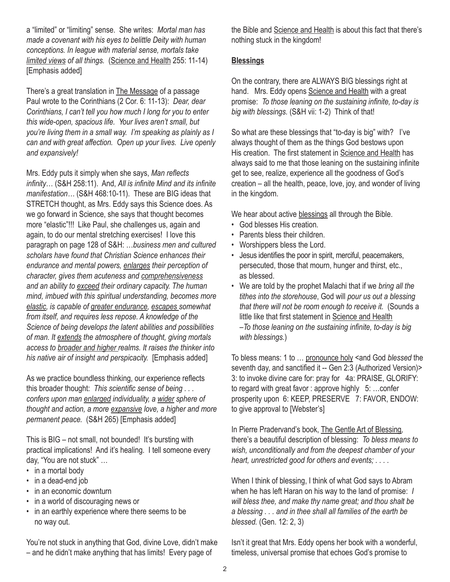a "limited" or "limiting" sense. She writes: *Mortal man has made a covenant with his eyes to belittle Deity with human conceptions. In league with material sense, mortals take limited views of all things.* (Science and Health 255: 11-14) [Emphasis added]

There's a great translation in The Message of a passage Paul wrote to the Corinthians (2 Cor. 6: 11-13): *Dear, dear Corinthians, I can't tell you how much I long for you to enter this wide-open, spacious life. Your lives aren't small, but you're living them in a small way. I'm speaking as plainly as I can and with great affection. Open up your lives. Live openly and expansively!*

Mrs. Eddy puts it simply when she says, *Man reflects infinity*… (S&H 258:11). And, *All is infinite Mind and its infinite manifestation…* (S&H 468:10-11). These are BIG ideas that STRETCH thought, as Mrs. Eddy says this Science does. As we go forward in Science, she says that thought becomes more "elastic"!!! Like Paul, she challenges us, again and again, to do our mental stretching exercises! I love this paragraph on page 128 of S&H: …*business men and cultured scholars have found that Christian Science enhances their endurance and mental powers, enlarges their perception of character, gives them acuteness and comprehensiveness and an ability to exceed their ordinary capacity. The human mind, imbued with this spiritual understanding, becomes more elastic, is capable of greater endurance, escapes somewhat from itself, and requires less repose. A knowledge of the Science of being develops the latent abilities and possibilities of man. It extends the atmosphere of thought, giving mortals access to broader and higher realms. It raises the thinker into his native air of insight and perspicacity.* [Emphasis added]

As we practice boundless thinking, our experience reflects this broader thought: *This scientific sense of being . . . confers upon man enlarged individuality, a wider sphere of thought and action, a more expansive love, a higher and more permanent peace.* (S&H 265) [Emphasis added]

This is BIG – not small, not bounded! It's bursting with practical implications! And it's healing. I tell someone every day, "You are not stuck" …

- in a mortal body
- in a dead-end job
- in an economic downturn
- in a world of discouraging news or
- in an earthly experience where there seems to be no way out.

You're not stuck in anything that God, divine Love, didn't make – and he didn't make anything that has limits! Every page of

the Bible and Science and Health is about this fact that there's nothing stuck in the kingdom!

#### **Blessings**

On the contrary, there are ALWAYS BIG blessings right at hand. Mrs. Eddy opens Science and Health with a great promise: *To those leaning on the sustaining infinite, to-day is big with blessings.* (S&H vii: 1-2) Think of that!

So what are these blessings that "to-day is big" with? I've always thought of them as the things God bestows upon His creation. The first statement in Science and Health has always said to me that those leaning on the sustaining infinite get to see, realize, experience all the goodness of God's creation – all the health, peace, love, joy, and wonder of living in the kingdom.

We hear about active blessings all through the Bible.

- God blesses His creation.
- Parents bless their children.
- Worshippers bless the Lord.
- Jesus identifies the poor in spirit, merciful, peacemakers, persecuted, those that mourn, hunger and thirst, etc., as blessed.
- We are told by the prophet Malachi that if we *bring all the tithes into the storehouse*, God will *pour us out a blessing that there will not be room enough to receive it.* (Sounds a little like that first statement in Science and Health –*To those leaning on the sustaining infinite, to-day is big with blessings.*)

To bless means: 1 to … pronounce holy <and God *blessed* the seventh day, and sanctified it -- Gen 2:3 (Authorized Version)> 3: to invoke divine care for: pray for 4a: PRAISE, GLORIFY: to regard with great favor : approve highly 5: …confer prosperity upon 6: KEEP, PRESERVE 7: FAVOR, ENDOW: to give approval to [Webster's]

In Pierre Pradervand's book, The Gentle Art of Blessing*,*  there's a beautiful description of blessing: *To bless means to wish, unconditionally and from the deepest chamber of your heart, unrestricted good for others and events; . . . .*

When I think of blessing, I think of what God says to Abram when he has left Haran on his way to the land of promise: *I will bless thee, and make thy name great; and thou shalt be a blessing . . . and in thee shall all families of the earth be blessed.* (Gen. 12: 2, 3)

Isn't it great that Mrs. Eddy opens her book with a wonderful, timeless, universal promise that echoes God's promise to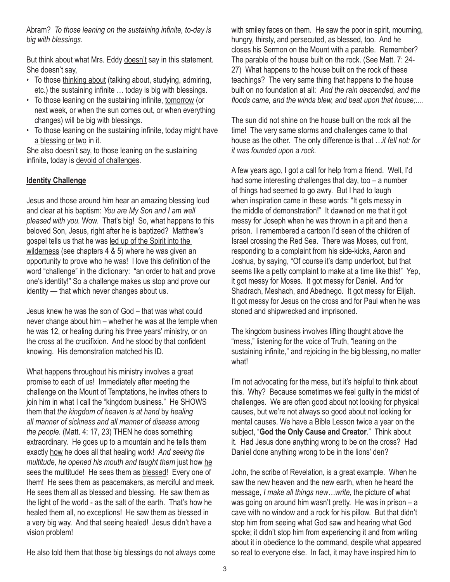Abram? *To those leaning on the sustaining infinite, to-day is big with blessings.*

But think about what Mrs. Eddy doesn't say in this statement. She doesn't say,

- To those thinking about (talking about, studying, admiring, etc.) the sustaining infinite … today is big with blessings.
- To those leaning on the sustaining infinite, tomorrow (or next week, or when the sun comes out, or when everything changes) will be big with blessings.
- To those leaning on the sustaining infinite, today might have a blessing or two in it.

She also doesn't say, to those leaning on the sustaining infinite, today is devoid of challenges.

### **Identity Challenge**

Jesus and those around him hear an amazing blessing loud and clear at his baptism: *You are My Son and I am well pleased with you.* Wow. That's big! So, what happens to this beloved Son, Jesus, right after he is baptized? Matthew's gospel tells us that he was led up of the Spirit into the wilderness (see chapters 4 & 5) where he was given an opportunity to prove who he was! I love this definition of the word "challenge" in the dictionary: "an order to halt and prove one's identity!" So a challenge makes us stop and prove our identity — that which never changes about us.

Jesus knew he was the son of God – that was what could never change about him – whether he was at the temple when he was 12, or healing during his three years' ministry, or on the cross at the crucifixion. And he stood by that confident knowing. His demonstration matched his ID.

What happens throughout his ministry involves a great promise to each of us! Immediately after meeting the challenge on the Mount of Temptations, he invites others to join him in what I call the "kingdom business." He SHOWS them that *the kingdom of heaven is at hand* by *healing all manner of sickness and all manner of disease among the people*. (Matt. 4: 17, 23) THEN he does something extraordinary. He goes up to a mountain and he tells them exactly how he does all that healing work! *And seeing the multitude, he opened his mouth and taught them* just how he sees the multitude! He sees them as blessed! Every one of them! He sees them as peacemakers, as merciful and meek. He sees them all as blessed and blessing. He saw them as the light of the world - as the salt of the earth. That's how he healed them all, no exceptions! He saw them as blessed in a very big way. And that seeing healed! Jesus didn't have a vision problem!

with smiley faces on them. He saw the poor in spirit, mourning, hungry, thirsty, and persecuted, as blessed, too. And he closes his Sermon on the Mount with a parable. Remember? The parable of the house built on the rock. (See Matt. 7: 24- 27) What happens to the house built on the rock of these teachings? The very same thing that happens to the house built on no foundation at all: *And the rain descended, and the floods came, and the winds blew, and beat upon that house;....* 

The sun did not shine on the house built on the rock all the time! The very same storms and challenges came to that house as the other. The only difference is that *…it fell not: for it was founded upon a rock.*

A few years ago, I got a call for help from a friend. Well, I'd had some interesting challenges that day, too – a number of things had seemed to go awry. But I had to laugh when inspiration came in these words: "It gets messy in the middle of demonstration!" It dawned on me that it got messy for Joseph when he was thrown in a pit and then a prison. I remembered a cartoon I'd seen of the children of Israel crossing the Red Sea. There was Moses, out front, responding to a complaint from his side-kicks, Aaron and Joshua, by saying, "Of course it's damp underfoot, but that seems like a petty complaint to make at a time like this!" Yep, it got messy for Moses. It got messy for Daniel. And for Shadrach, Meshach, and Abednego. It got messy for Elijah. It got messy for Jesus on the cross and for Paul when he was stoned and shipwrecked and imprisoned.

The kingdom business involves lifting thought above the "mess," listening for the voice of Truth, "leaning on the sustaining infinite," and rejoicing in the big blessing, no matter what!

I'm not advocating for the mess, but it's helpful to think about this. Why? Because sometimes we feel guilty in the midst of challenges. We are often good about not looking for physical causes, but we're not always so good about not looking for mental causes. We have a Bible Lesson twice a year on the subject, "**God the Only Cause and Creator**." Think about it. Had Jesus done anything wrong to be on the cross? Had Daniel done anything wrong to be in the lions' den?

John, the scribe of Revelation, is a great example. When he saw the new heaven and the new earth, when he heard the message, *I make all things new…write*, the picture of what was going on around him wasn't pretty. He was in prison – a cave with no window and a rock for his pillow. But that didn't stop him from seeing what God saw and hearing what God spoke; it didn't stop him from experiencing it and from writing about it in obedience to the command, despite what appeared so real to everyone else. In fact, it may have inspired him to

He also told them that those big blessings do not always come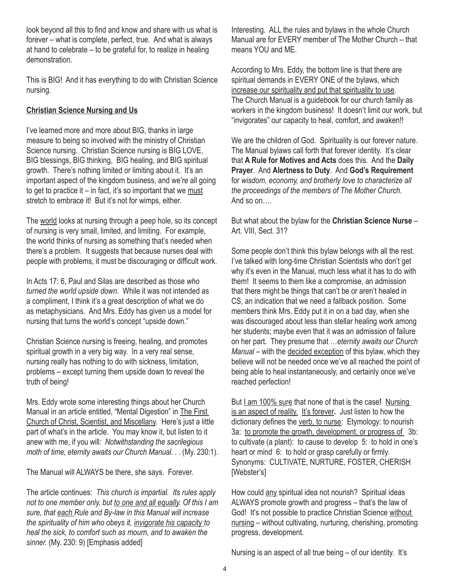look beyond all this to find and know and share with us what is forever – what is complete, perfect, true. And what is always at hand to celebrate – to be grateful for, to realize in healing demonstration.

This is BIG! And it has everything to do with Christian Science nursing.

## **Christian Science Nursing and Us**

I've learned more and more about BIG, thanks in large measure to being so involved with the ministry of Christian Science nursing. Christian Science nursing is BIG LOVE, BIG blessings, BIG thinking, BIG healing, and BIG spiritual growth. There's nothing limited or limiting about it. It's an important aspect of the kingdom business, and we're all going to get to practice it  $-$  in fact, it's so important that we must stretch to embrace it! But it's not for wimps, either.

The world looks at nursing through a peep hole, so its concept of nursing is very small, limited, and limiting. For example, the world thinks of nursing as something that's needed when there's a problem. It suggests that because nurses deal with people with problems, it must be discouraging or difficult work.

In Acts 17: 6, Paul and Silas are described as those *who turned the world upside down*. While it was not intended as a compliment, I think it's a great description of what we do as metaphysicians. And Mrs. Eddy has given us a model for nursing that turns the world's concept "upside down."

Christian Science nursing is freeing, healing, and promotes spiritual growth in a very big way. In a very real sense, nursing really has nothing to do with sickness, limitation, problems – except turning them upside down to reveal the truth of being!

Mrs. Eddy wrote some interesting things about her Church Manual in an article entitled, "Mental Digestion" in The First Church of Christ, Scientist, and Miscellany. Here's just a little part of what's in the article. You may know it, but listen to it anew with me, if you will*: Notwithstanding the sacrilegious moth of time, eternity awaits our Church Manual*. . . (My. 230:1).

The Manual will ALWAYS be there, she says. Forever.

The article continues: *This church is impartial. Its rules apply not to one member only, but to one and all equally. Of this I am sure, that each Rule and By-law in this Manual will increase the spirituality of him who obeys it, invigorate his capacity to heal the sick, to comfort such as mourn, and to awaken the sinner.* (My. 230: 9) [Emphasis added]

Interesting. ALL the rules and bylaws in the whole Church Manual are for EVERY member of The Mother Church – that means YOU and ME.

According to Mrs. Eddy, the bottom line is that there are spiritual demands in EVERY ONE of the bylaws, which increase our spirituality and put that spirituality to use. The Church Manual is a guidebook for our church family as workers in the kingdom business! It doesn't limit our work, but "invigorates" our capacity to heal, comfort, and awaken!!

We are the children of God. Spirituality is our forever nature. The Manual bylaws call forth that forever identity. It's clear that **A Rule for Motives and Acts** does this. And the **Daily Prayer**. And **Alertness to Duty**. And **God's Requirement** for *wisdom, economy, and brotherly love to characterize all the proceedings of the members of The Mother Church*. And so on….

But what about the bylaw for the **Christian Science Nurse** – Art. VIII, Sect. 31?

Some people don't think this bylaw belongs with all the rest. I've talked with long-time Christian Scientists who don't get why it's even in the Manual, much less what it has to do with them! It seems to them like a compromise, an admission that there might be things that can't be or aren't healed in CS, an indication that we need a fallback position. Some members think Mrs. Eddy put it in on a bad day, when she was discouraged about less than stellar healing work among her students; maybe even that it was an admission of failure on her part. They presume that …*eternity awaits our Church Manual* – with the decided exception of this bylaw, which they believe will not be needed once we've all reached the point of being able to heal instantaneously, and certainly once we've reached perfection!

But I am 100% sure that none of that is the case**!** Nursing is an aspect of reality. It's forever**.** Just listen to how the dictionary defines the verb, to nurse: Etymology: to nourish 3a: to promote the growth, development, or progress of 3b: to cultivate (a plant): to cause to develop 5: to hold in one's heart or mind 6: to hold or grasp carefully or firmly. Synonyms: CULTIVATE, NURTURE, FOSTER, CHERISH [Webster's]

How could any spiritual idea not nourish? Spiritual ideas ALWAYS promote growth and progress – that's the law of God! It's not possible to practice Christian Science without nursing – without cultivating, nurturing, cherishing, promoting progress, development.

Nursing is an aspect of all true being – of our identity. It's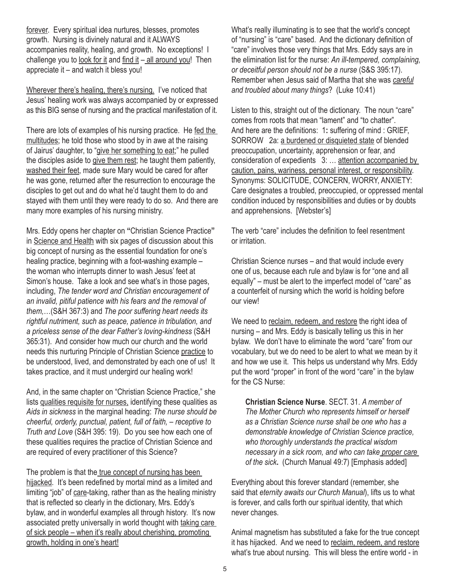forever. Every spiritual idea nurtures, blesses, promotes growth. Nursing is divinely natural and it ALWAYS accompanies reality, healing, and growth. No exceptions! I challenge you to look for it and find it  $-$  all around you! Then appreciate it – and watch it bless you!

Wherever there's healing, there's nursing. I've noticed that Jesus' healing work was always accompanied by or expressed as this BIG sense of nursing and the practical manifestation of it.

There are lots of examples of his nursing practice. He fed the multitudes; he told those who stood by in awe at the raising of Jairus' daughter, to "give her something to eat;" he pulled the disciples aside to give them rest; he taught them patiently, washed their feet, made sure Mary would be cared for after he was gone, returned after the resurrection to encourage the disciples to get out and do what he'd taught them to do and stayed with them until they were ready to do so. And there are many more examples of his nursing ministry.

Mrs. Eddy opens her chapter on **"**Christian Science Practice**"**  in Science and Health with six pages of discussion about this big concept of nursing as the essential foundation for one's healing practice, beginning with a foot-washing example – the woman who interrupts dinner to wash Jesus' feet at Simon's house. Take a look and see what's in those pages, including, *The tender word and Christian encouragement of an invalid, pitiful patience with his fears and the removal of them,*…(S&H 367:3) and *The poor suffering heart needs its rightful nutriment, such as peace, patience in tribulation, and a priceless sense of the dear Father's loving-kindness* (S&H 365:31). And consider how much our church and the world needs this nurturing Principle of Christian Science practice to be understood, lived, and demonstrated by each one of us! It takes practice, and it must undergird our healing work!

And, in the same chapter on "Christian Science Practice," she lists qualities requisite for nurses, identifying these qualities as *Aids in sickness* in the marginal heading: *The nurse should be cheerful, orderly, punctual, patient, full of faith, – receptive to Truth and Love* (S&H 395: 19). Do you see how each one of these qualities requires the practice of Christian Science and are required of every practitioner of this Science?

The problem is that the true concept of nursing has been hijacked. It's been redefined by mortal mind as a limited and limiting "job" of care-taking, rather than as the healing ministry that is reflected so clearly in the dictionary, Mrs. Eddy's bylaw, and in wonderful examples all through history. It's now associated pretty universally in world thought with taking care of sick people – when it's really about cherishing, promoting growth, holding in one's heart!

What's really illuminating is to see that the world's concept of "nursing" is "care" based. And the dictionary definition of "care" involves those very things that Mrs. Eddy says are in the elimination list for the nurse: *An ill-tempered, complaining, or deceitful person should not be a nurse* (S&S 395:17). Remember when Jesus said of Martha that she was *careful and troubled about many things*? (Luke 10:41)

Listen to this, straight out of the dictionary. The noun "care" comes from roots that mean "lament" and "to chatter". And here are the definitions: 1**:** suffering of mind : GRIEF, SORROW 2a: a burdened or disquieted state of blended preoccupation, uncertainty, apprehension or fear, and consideration of expedients 3: … attention accompanied by caution, pains, wariness, personal interest, or responsibility. Synonyms: SOLICITUDE, CONCERN, WORRY, ANXIETY: Care designates a troubled, preoccupied, or oppressed mental condition induced by responsibilities and duties or by doubts and apprehensions. [Webster's]

The verb "care" includes the definition to feel resentment or irritation.

Christian Science nurses – and that would include every one of us, because each rule and bylaw is for "one and all equally" – must be alert to the imperfect model of "care" as a counterfeit of nursing which the world is holding before our view!

We need to reclaim, redeem, and restore the right idea of nursing – and Mrs. Eddy is basically telling us this in her bylaw. We don't have to eliminate the word "care" from our vocabulary, but we do need to be alert to what we mean by it and how we use it. This helps us understand why Mrs. Eddy put the word "proper" in front of the word "care" in the bylaw for the CS Nurse:

**Christian Science Nurse**. SECT. 31. *A member of The Mother Church who represents himself or herself as a Christian Science nurse shall be one who has a demonstrable knowledge of Christian Science practice, who thoroughly understands the practical wisdom necessary in a sick room, and who can take proper care of the sick***.** (Church Manual 49:7) [Emphasis added]

Everything about this forever standard (remember, she said that *eternity awaits our Church Manual*), lifts us to what is forever, and calls forth our spiritual identity, that which never changes.

Animal magnetism has substituted a fake for the true concept it has hijacked. And we need to reclaim, redeem, and restore what's true about nursing. This will bless the entire world - in